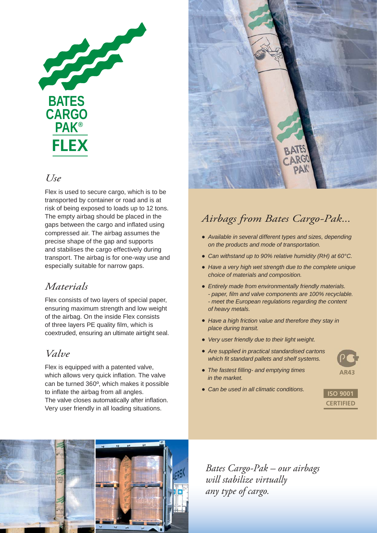

### *Use*

Flex is used to secure cargo, which is to be transported by container or road and is at risk of being exposed to loads up to 12 tons. The empty airbag should be placed in the gaps between the cargo and inflated using compressed air. The airbag assumes the precise shape of the gap and supports and stabilises the cargo effectively during transport. The airbag is for one-way use and especially suitable for narrow gaps.

## *Materials*

Flex consists of two layers of special paper, ensuring maximum strength and low weight of the airbag. On the inside Flex consists of three layers PE quality film, which is coextruded, ensuring an ultimate airtight seal.

## *Valve*

Flex is equipped with a patented valve, which allows very quick inflation. The valve can be turned 360º, which makes it possible to inflate the airbag from all angles. The valve closes automatically after inflation. Very user friendly in all loading situations.



## *Airbags from Bates Cargo-Pak...*

- *Available in several different types and sizes, depending on the products and mode of transportation.*
- *Can withstand up to 90% relative humidity (RH) at 60°C.*
- *Have a very high wet strength due to the complete unique choice of materials and composition.*
- *Entirely made from environmentally friendly materials. - paper, fi lm and valve components are 100% recyclable. - meet the European regulations regarding the content of heavy metals.*
- *Have a high friction value and therefore they stay in place during transit.*
- *Very user friendly due to their light weight.*
- *Are supplied in practical standardised cartons which fit standard pallets and shelf systems.*
- *The fastest fi lling- and emptying times in the market.*
- *Can be used in all climatic conditions.*



**AR43**



*Bates Cargo-Pak – our airbags will stabilize virtually any type of cargo.*